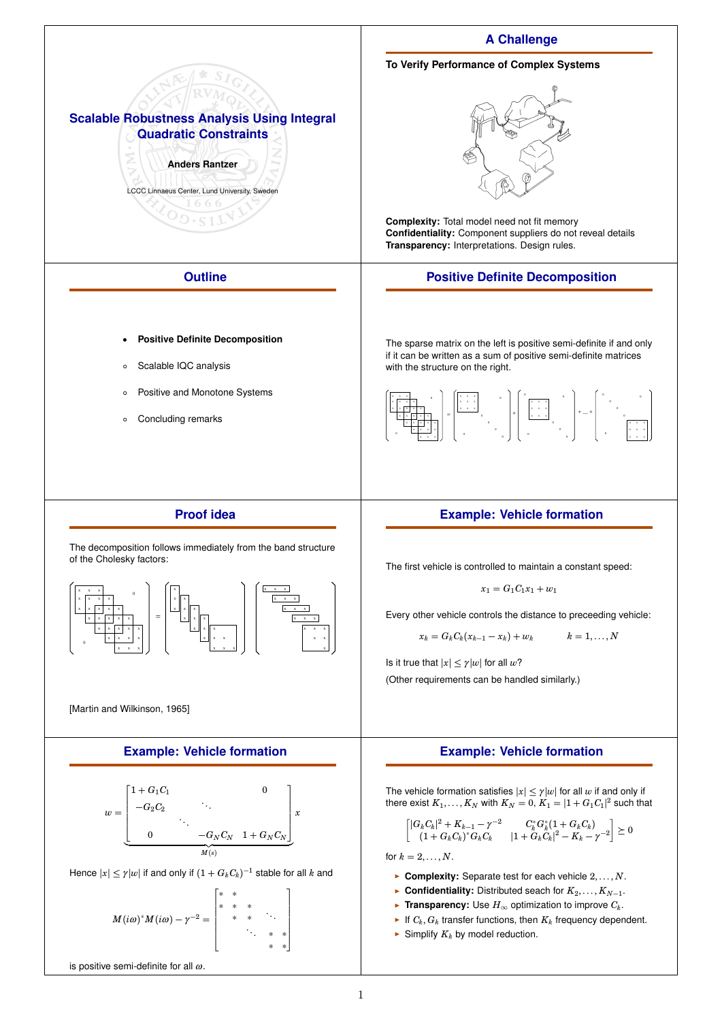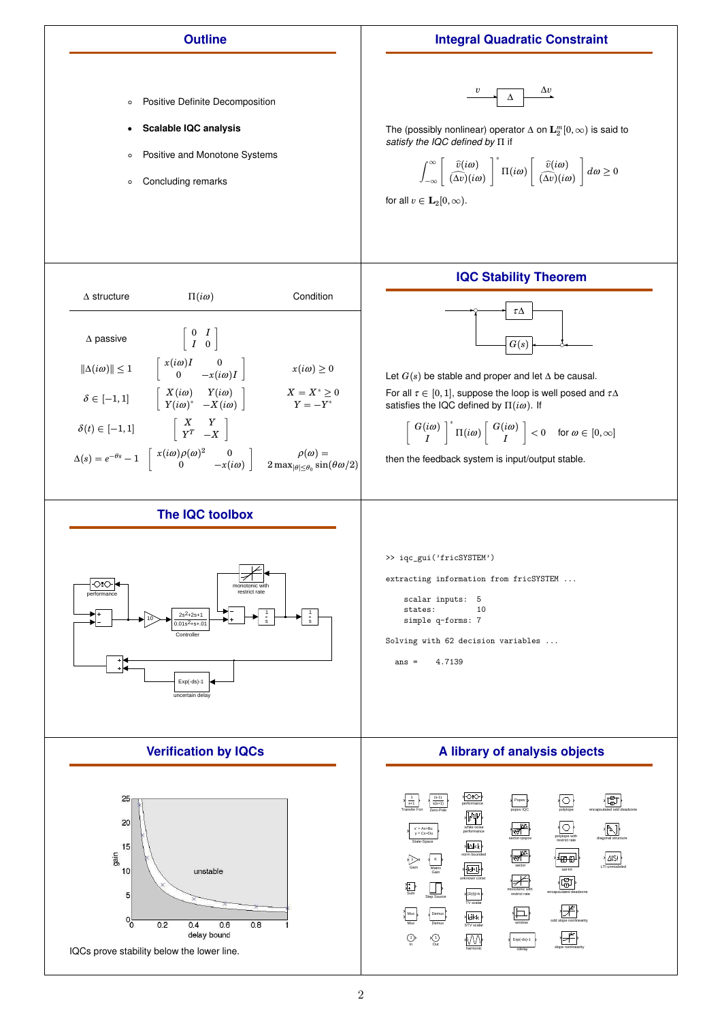## **Outline**

## **Integral Quadratic Constraint**



- **Scalable IQC analysis**
- Positive and Monotone Systems
- Concluding remarks

$$
\begin{array}{c|c}\n\hline\nv & \Delta\n\end{array}
$$

The (possibly nonlinear) operator ∆ on **L** *m* 2 [0,∞) is said to *satisfy the IQC defined by* Π if

$$
\int_{-\infty}^{\infty} \left[ \frac{\widehat{v}(i\omega)}{(\Delta v)(i\omega)} \right]^* \Pi(i\omega) \left[ \frac{\widehat{v}(i\omega)}{(\Delta v)(i\omega)} \right] d\omega \ge 0
$$

for all  $v \in L_2[0,\infty)$ .

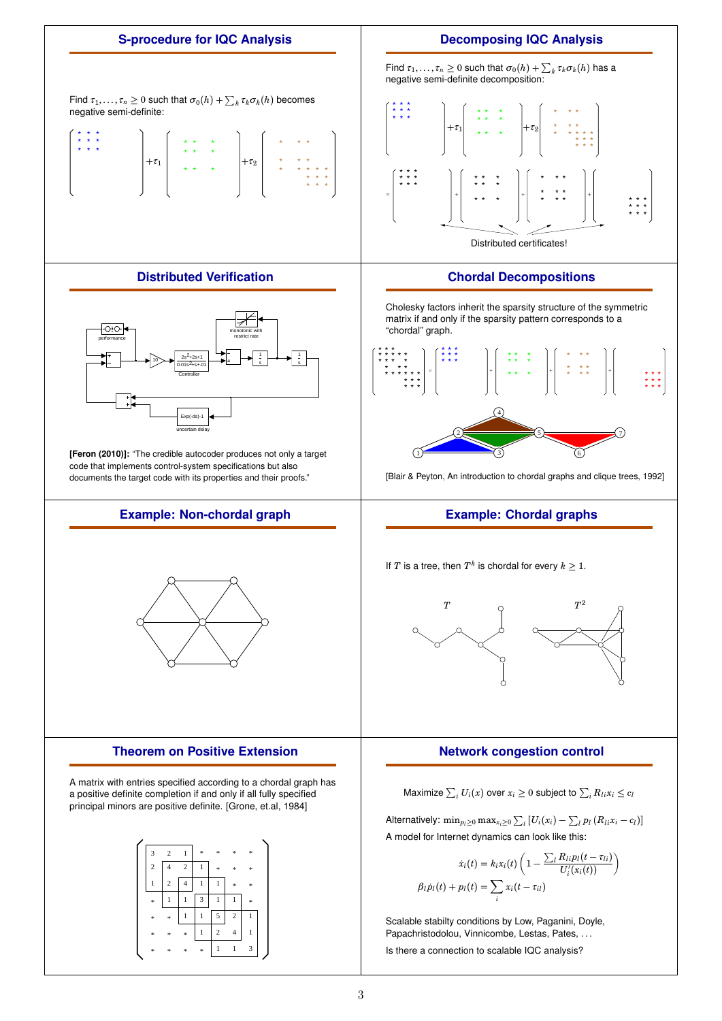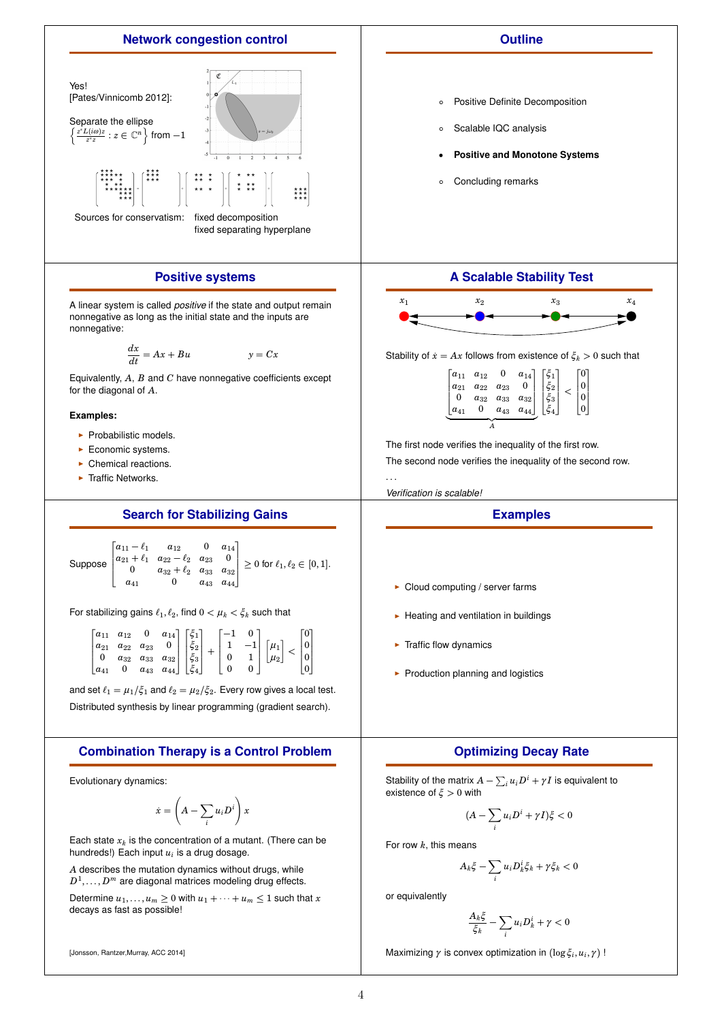

[Jonsson, Rantzer,Murray, ACC 2014]